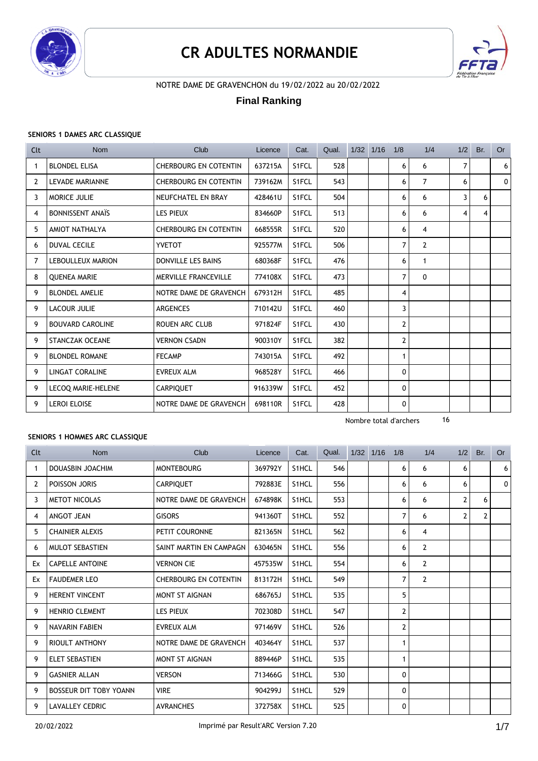

# **CR ADULTES NORMANDIE**



### NOTRE DAME DE GRAVENCHON du 19/02/2022 au 20/02/2022

### **Final Ranking**

#### **SENIORS 1 DAMES ARC CLASSIQUE**

| Clt            | Nom                      | Club                         | Licence | Cat.  | Qual. | $1/32$ $1/16$ | 1/8                    | 1/4            |   | $1/2$ Br. | <b>Or</b> |
|----------------|--------------------------|------------------------------|---------|-------|-------|---------------|------------------------|----------------|---|-----------|-----------|
| -1             | <b>BLONDEL ELISA</b>     | <b>CHERBOURG EN COTENTIN</b> | 637215A | S1FCL | 528   |               | 6                      | 6              | 7 |           | 6         |
| 2              | <b>LEVADE MARIANNE</b>   | <b>CHERBOURG EN COTENTIN</b> | 739162M | S1FCL | 543   |               | 6                      | $\overline{7}$ | 6 |           | 0         |
| 3              | MORICE JULIE             | NEUFCHATEL EN BRAY           | 428461U | S1FCL | 504   |               | 6                      | 6              | 3 | 6         |           |
| 4              | <b>BONNISSENT ANAIS</b>  | <b>LES PIEUX</b>             | 834660P | S1FCL | 513   |               | 6                      | 6              | 4 | 4         |           |
| 5              | AMIOT NATHALYA           | <b>CHERBOURG EN COTENTIN</b> | 668555R | S1FCL | 520   |               | 6                      | 4              |   |           |           |
| 6              | <b>DUVAL CECILE</b>      | <b>YVETOT</b>                | 925577M | S1FCL | 506   |               | $\overline{7}$         | $\overline{2}$ |   |           |           |
| $\overline{7}$ | <b>LEBOULLEUX MARION</b> | DONVILLE LES BAINS           | 680368F | S1FCL | 476   |               | 6                      | 1              |   |           |           |
| 8              | <b>QUENEA MARIE</b>      | <b>MERVILLE FRANCEVILLE</b>  | 774108X | S1FCL | 473   |               | $\overline{7}$         | 0              |   |           |           |
| 9              | <b>BLONDEL AMELIE</b>    | NOTRE DAME DE GRAVENCH       | 679312H | S1FCL | 485   |               | 4                      |                |   |           |           |
| 9              | <b>LACOUR JULIE</b>      | <b>ARGENCES</b>              | 710142U | S1FCL | 460   |               | 3                      |                |   |           |           |
| 9              | <b>BOUVARD CAROLINE</b>  | <b>ROUEN ARC CLUB</b>        | 971824F | S1FCL | 430   |               | $\mathbf{2}$           |                |   |           |           |
| 9              | <b>STANCZAK OCEANE</b>   | <b>VERNON CSADN</b>          | 900310Y | S1FCL | 382   |               | 2                      |                |   |           |           |
| 9              | <b>BLONDEL ROMANE</b>    | <b>FECAMP</b>                | 743015A | S1FCL | 492   |               | $\mathbf{1}$           |                |   |           |           |
| 9              | <b>LINGAT CORALINE</b>   | <b>EVREUX ALM</b>            | 968528Y | S1FCL | 466   |               | 0                      |                |   |           |           |
| 9              | LECOQ MARIE-HELENE       | <b>CARPIQUET</b>             | 916339W | S1FCL | 452   |               | 0                      |                |   |           |           |
| 9              | <b>LEROI ELOISE</b>      | NOTRE DAME DE GRAVENCH       | 698110R | S1FCL | 428   |               | 0                      |                |   |           |           |
|                |                          |                              |         |       |       |               | Nombre total d'archers | 16             |   |           |           |

#### **SENIORS 1 HOMMES ARC CLASSIQUE**

| Clt | <b>Nom</b>                    | Club                         | Licence | Cat.               | Qual. | 1/32 1/16 | 1/8            | 1/4            | 1/2            | Br.            | <b>Or</b> |
|-----|-------------------------------|------------------------------|---------|--------------------|-------|-----------|----------------|----------------|----------------|----------------|-----------|
| 1   | <b>DOUASBIN JOACHIM</b>       | <b>MONTEBOURG</b>            | 369792Y | S1HCL              | 546   |           | 6              | 6              | 6              |                | 6         |
| 2   | POISSON JORIS                 | <b>CARPIOUET</b>             | 792883E | S1HCL              | 556   |           | 6              | 6              | 6              |                | 0         |
| 3   | <b>METOT NICOLAS</b>          | NOTRE DAME DE GRAVENCH       | 674898K | S <sub>1</sub> HCL | 553   |           | 6              | 6              | $\overline{2}$ | 6              |           |
| 4   | ANGOT JEAN                    | <b>GISORS</b>                | 941360T | S1HCL              | 552   |           | $\overline{7}$ | 6              | $\overline{2}$ | $\overline{2}$ |           |
| 5   | <b>CHAINIER ALEXIS</b>        | PETIT COURONNE               | 821365N | S <sub>1</sub> HCL | 562   |           | 6              | 4              |                |                |           |
| 6   | <b>MULOT SEBASTIEN</b>        | SAINT MARTIN EN CAMPAGN      | 630465N | S <sub>1</sub> HCL | 556   |           | 6              | $\mathbf{2}$   |                |                |           |
| Ex  | <b>CAPELLE ANTOINE</b>        | <b>VERNON CIE</b>            | 457535W | S <sub>1</sub> HCL | 554   |           | 6              | $\overline{2}$ |                |                |           |
| Ex  | <b>FAUDEMER LEO</b>           | <b>CHERBOURG EN COTENTIN</b> | 813172H | S <sub>1</sub> HCL | 549   |           | $\overline{7}$ | $\overline{2}$ |                |                |           |
| 9   | <b>HERENT VINCENT</b>         | <b>MONT ST AIGNAN</b>        | 686765J | S1HCL              | 535   |           | 5              |                |                |                |           |
| 9   | <b>HENRIO CLEMENT</b>         | <b>LES PIEUX</b>             | 702308D | S <sub>1</sub> HCL | 547   |           | $\mathbf{2}$   |                |                |                |           |
| 9   | NAVARIN FABIEN                | <b>EVREUX ALM</b>            | 971469V | S1HCL              | 526   |           | $\overline{2}$ |                |                |                |           |
| 9   | <b>RIOULT ANTHONY</b>         | NOTRE DAME DE GRAVENCH       | 403464Y | S <sub>1</sub> HCL | 537   |           | 1              |                |                |                |           |
| 9   | <b>ELET SEBASTIEN</b>         | <b>MONT ST AIGNAN</b>        | 889446P | S <sub>1</sub> HCL | 535   |           | 1              |                |                |                |           |
| 9   | <b>GASNIER ALLAN</b>          | <b>VERSON</b>                | 713466G | S1HCL              | 530   |           | 0              |                |                |                |           |
| 9   | <b>BOSSEUR DIT TOBY YOANN</b> | <b>VIRE</b>                  | 904299J | S <sub>1</sub> HCL | 529   |           | 0              |                |                |                |           |
| 9   | <b>LAVALLEY CEDRIC</b>        | <b>AVRANCHES</b>             | 372758X | S <sub>1</sub> HCL | 525   |           | 0              |                |                |                |           |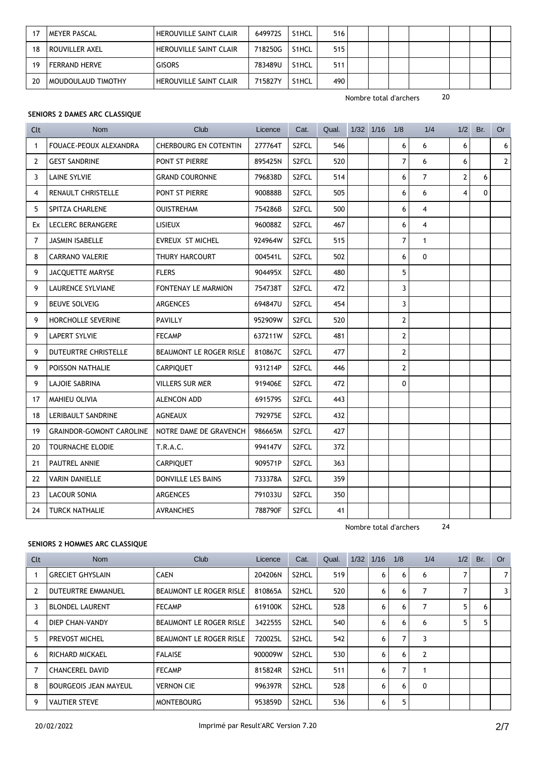|    | <b>MEYER PASCAL</b>  | <b>HEROUVILLE SAINT CLAIR</b> | 649972S | S1HCL              | 516 |  |  |  |
|----|----------------------|-------------------------------|---------|--------------------|-----|--|--|--|
| 18 | ROUVILLER AXEL       | <b>HEROUVILLE SAINT CLAIR</b> | 718250G | S1HCL              | 515 |  |  |  |
| 19 | <b>FERRAND HERVE</b> | <b>GISORS</b>                 | 783489U | S1HCL              | 511 |  |  |  |
| 20 | MOUDOULAUD TIMOTHY   | <b>HEROUVILLE SAINT CLAIR</b> | 715827Y | S <sub>1</sub> HCL | 490 |  |  |  |

#### **SENIORS 2 DAMES ARC CLASSIQUE**

| Clt            | <b>Nom</b>                      | Club                         | Licence | Cat.               | Qual. | $1/32$ $1/16$ | 1/8            | 1/4            | 1/2            | Br. | Or          |
|----------------|---------------------------------|------------------------------|---------|--------------------|-------|---------------|----------------|----------------|----------------|-----|-------------|
| $\mathbf{1}$   | FOUACE-PEOUX ALEXANDRA          | <b>CHERBOURG EN COTENTIN</b> | 277764T | S2FCL              | 546   |               | 6              | 6              | 6              |     | 6           |
| $\overline{2}$ | <b>GEST SANDRINE</b>            | PONT ST PIERRE               | 895425N | S2FCL              | 520   |               | $\overline{7}$ | 6              | 6              |     | $2^{\circ}$ |
| 3              | <b>LAINE SYLVIE</b>             | <b>GRAND COURONNE</b>        | 796838D | S <sub>2</sub> FCL | 514   |               | 6              | $\overline{7}$ | $\overline{2}$ | 6   |             |
| 4              | RENAULT CHRISTELLE              | PONT ST PIERRE               | 900888B | S <sub>2</sub> FCL | 505   |               | 6              | 6              | $\overline{4}$ | 0   |             |
| 5              | SPITZA CHARLENE                 | <b>OUISTREHAM</b>            | 754286B | S <sub>2</sub> FCL | 500   |               | 6              | 4              |                |     |             |
| Ex             | LECLERC BERANGERE               | <b>LISIEUX</b>               | 960088Z | S <sub>2</sub> FCL | 467   |               | 6              | $\overline{4}$ |                |     |             |
| $\overline{7}$ | <b>JASMIN ISABELLE</b>          | <b>EVREUX ST MICHEL</b>      | 924964W | S2FCL              | 515   |               | $\overline{7}$ | $\mathbf{1}$   |                |     |             |
| 8              | <b>CARRANO VALERIE</b>          | THURY HARCOURT               | 004541L | S2FCL              | 502   |               | 6              | $\Omega$       |                |     |             |
| 9              | JACQUETTE MARYSE                | <b>FLERS</b>                 | 904495X | S2FCL              | 480   |               | 5              |                |                |     |             |
| 9              | LAURENCE SYLVIANE               | FONTENAY LE MARMION          | 754738T | S2FCL              | 472   |               | 3              |                |                |     |             |
| 9              | <b>BEUVE SOLVEIG</b>            | ARGENCES                     | 694847U | S2FCL              | 454   |               | 3              |                |                |     |             |
| 9              | HORCHOLLE SEVERINE              | <b>PAVILLY</b>               | 952909W | S <sub>2</sub> FCL | 520   |               | $\mathbf{2}$   |                |                |     |             |
| 9              | <b>LAPERT SYLVIE</b>            | <b>FECAMP</b>                | 637211W | S <sub>2</sub> FCL | 481   |               | $\mathbf{2}$   |                |                |     |             |
| 9              | DUTEURTRE CHRISTELLE            | BEAUMONT LE ROGER RISLE      | 810867C | S <sub>2</sub> FCL | 477   |               | $\mathbf{2}$   |                |                |     |             |
| 9              | POISSON NATHALIE                | <b>CARPIQUET</b>             | 931214P | S2FCL              | 446   |               | $\overline{2}$ |                |                |     |             |
| 9              | <b>LAJOIE SABRINA</b>           | VILLERS SUR MER              | 919406E | S2FCL              | 472   |               | $\Omega$       |                |                |     |             |
| 17             | <b>MAHIEU OLIVIA</b>            | <b>ALENCON ADD</b>           | 691579S | S2FCL              | 443   |               |                |                |                |     |             |
| 18             | LERIBAULT SANDRINE              | <b>AGNEAUX</b>               | 792975E | S2FCL              | 432   |               |                |                |                |     |             |
| 19             | <b>GRAINDOR-GOMONT CAROLINE</b> | NOTRE DAME DE GRAVENCH       | 986665M | S <sub>2</sub> FCL | 427   |               |                |                |                |     |             |
| 20             | <b>TOURNACHE ELODIE</b>         | <b>T.R.A.C.</b>              | 994147V | S <sub>2</sub> FCL | 372   |               |                |                |                |     |             |
| 21             | PAUTREL ANNIE                   | <b>CARPIQUET</b>             | 909571P | S2FCL              | 363   |               |                |                |                |     |             |
| 22             | <b>VARIN DANIELLE</b>           | DONVILLE LES BAINS           | 733378A | S <sub>2</sub> FCL | 359   |               |                |                |                |     |             |
| 23             | <b>LACOUR SONIA</b>             | <b>ARGENCES</b>              | 791033U | S <sub>2</sub> FCL | 350   |               |                |                |                |     |             |
| 24             | <b>TURCK NATHALIE</b>           | <b>AVRANCHES</b>             | 788790F | S2FCL              | 41    |               |                |                |                |     |             |

Nombre total d'archers 24

#### **SENIORS 2 HOMMES ARC CLASSIQUE**

| Clt            | Nom                          | Club                           | Licence | Cat.               | Qual. | 1/32 | 1/16 | 1/8 | 1/4            | 1/2 | Br. | <b>Or</b>      |
|----------------|------------------------------|--------------------------------|---------|--------------------|-------|------|------|-----|----------------|-----|-----|----------------|
|                | <b>GRECIET GHYSLAIN</b>      | <b>CAEN</b>                    | 204206N | S2HCL              | 519   |      | 6    | 6   | 6              |     |     | $\overline{7}$ |
| $\overline{2}$ | <b>DUTEURTRE EMMANUEL</b>    | <b>BEAUMONT LE ROGER RISLE</b> | 810865A | S2HCL              | 520   |      | 6    | 6   | 7              | 7   |     | 3              |
| 3              | <b>BLONDEL LAURENT</b>       | <b>FECAMP</b>                  | 619100K | S2HCL              | 528   |      | 6    | 6   | 7              | 5   | 6   |                |
| 4              | DIEP CHAN-VANDY              | <b>BEAUMONT LE ROGER RISLE</b> | 342255S | S2HCL              | 540   |      | 6    | 6   | 6              | 5   | 5   |                |
| 5              | <b>PREVOST MICHEL</b>        | <b>BEAUMONT LE ROGER RISLE</b> | 720025L | S <sub>2</sub> HCL | 542   |      | 6    | 7   | 3              |     |     |                |
| 6              | RICHARD MICKAEL              | <b>FALAISE</b>                 | 900009W | S2HCL              | 530   |      | 6    | 6   | $\overline{2}$ |     |     |                |
| $\overline{7}$ | <b>CHANCEREL DAVID</b>       | <b>FECAMP</b>                  | 815824R | S2HCL              | 511   |      | 6    | 7   |                |     |     |                |
| 8              | <b>BOURGEOIS JEAN MAYEUL</b> | <b>VERNON CIE</b>              | 996397R | S2HCL              | 528   |      | 6    | 6   | $\mathbf{0}$   |     |     |                |
| 9              | <b>VAUTIER STEVE</b>         | <b>MONTEBOURG</b>              | 953859D | S2HCL              | 536   |      | 6    | 5   |                |     |     |                |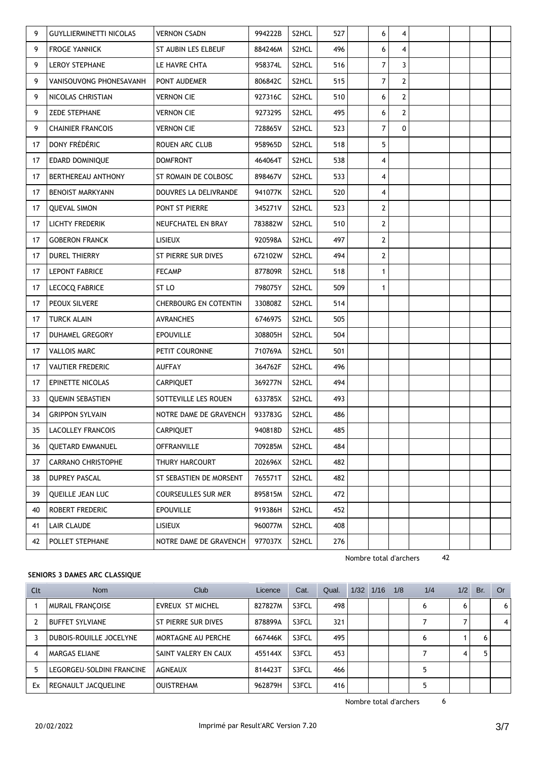| 9  | <b>GUYLLIERMINETTI NICOLAS</b> | <b>VERNON CSADN</b>     | 994222B | S2HCL              | 527 | 6              | 4            |  |  |
|----|--------------------------------|-------------------------|---------|--------------------|-----|----------------|--------------|--|--|
| 9  | <b>FROGE YANNICK</b>           | ST AUBIN LES ELBEUF     | 884246M | S2HCL              | 496 | 6              | 4            |  |  |
| 9  | <b>LEROY STEPHANE</b>          | LE HAVRE CHTA           | 958374L | S2HCL              | 516 | 7              | 3            |  |  |
| 9  | VANISOUVONG PHONESAVANH        | PONT AUDEMER            | 806842C | S2HCL              | 515 | 7              | 2            |  |  |
| 9  | NICOLAS CHRISTIAN              | <b>VERNON CIE</b>       | 927316C | S2HCL              | 510 | 6              | $\mathbf{2}$ |  |  |
| 9  | <b>ZEDE STEPHANE</b>           | <b>VERNON CIE</b>       | 927329S | S2HCL              | 495 | 6              | $\mathbf{2}$ |  |  |
| 9  | <b>CHAINIER FRANCOIS</b>       | <b>VERNON CIE</b>       | 728865V | S <sub>2</sub> HCL | 523 | $\overline{7}$ | $\Omega$     |  |  |
| 17 | DONY FRÉDÉRIC                  | ROUEN ARC CLUB          | 958965D | S2HCL              | 518 | 5              |              |  |  |
| 17 | EDARD DOMINIQUE                | <b>DOMFRONT</b>         | 464064T | S2HCL              | 538 | 4              |              |  |  |
| 17 | BERTHEREAU ANTHONY             | ST ROMAIN DE COLBOSC    | 898467V | S <sub>2</sub> HCL | 533 | $\overline{4}$ |              |  |  |
| 17 | <b>BENOIST MARKYANN</b>        | DOUVRES LA DELIVRANDE   | 941077K | S <sub>2</sub> HCL | 520 | $\overline{4}$ |              |  |  |
| 17 | <b>QUEVAL SIMON</b>            | PONT ST PIERRE          | 345271V | S2HCL              | 523 | $\mathbf{2}$   |              |  |  |
| 17 | <b>LICHTY FREDERIK</b>         | NEUFCHATEL EN BRAY      | 783882W | S2HCL              | 510 | $\overline{2}$ |              |  |  |
| 17 | <b>GOBERON FRANCK</b>          | <b>LISIEUX</b>          | 920598A | S2HCL              | 497 | $\overline{2}$ |              |  |  |
| 17 | <b>DUREL THIERRY</b>           | ST PIERRE SUR DIVES     | 672102W | S2HCL              | 494 | $\overline{2}$ |              |  |  |
| 17 | <b>LEPONT FABRICE</b>          | <b>FECAMP</b>           | 877809R | S2HCL              | 518 | $\mathbf{1}$   |              |  |  |
| 17 | <b>LECOCQ FABRICE</b>          | ST LO                   | 798075Y | S <sub>2</sub> HCL | 509 | $\mathbf{1}$   |              |  |  |
| 17 | PEOUX SILVERE                  | CHERBOURG EN COTENTIN   | 330808Z | S <sub>2</sub> HCL | 514 |                |              |  |  |
| 17 | TURCK ALAIN                    | <b>AVRANCHES</b>        | 674697S | S2HCL              | 505 |                |              |  |  |
| 17 | DUHAMEL GREGORY                | <b>EPOUVILLE</b>        | 308805H | S <sub>2</sub> HCL | 504 |                |              |  |  |
| 17 | <b>VALLOIS MARC</b>            | PETIT COURONNE          | 710769A | S <sub>2</sub> HCL | 501 |                |              |  |  |
| 17 | <b>VAUTIER FREDERIC</b>        | <b>AUFFAY</b>           | 364762F | S2HCL              | 496 |                |              |  |  |
| 17 | EPINETTE NICOLAS               | <b>CARPIQUET</b>        | 369277N | S2HCL              | 494 |                |              |  |  |
| 33 | <b>QUEMIN SEBASTIEN</b>        | SOTTEVILLE LES ROUEN    | 633785X | S <sub>2</sub> HCL | 493 |                |              |  |  |
| 34 | <b>GRIPPON SYLVAIN</b>         | NOTRE DAME DE GRAVENCH  | 933783G | S <sub>2</sub> HCL | 486 |                |              |  |  |
| 35 | LACOLLEY FRANCOIS              | CARPIQUET               | 940818D | S2HCL              | 485 |                |              |  |  |
| 36 | <b>QUETARD EMMANUEL</b>        | <b>OFFRANVILLE</b>      | 709285M | S2HCL              | 484 |                |              |  |  |
| 37 | <b>CARRANO CHRISTOPHE</b>      | THURY HARCOURT          | 202696X | S2HCL              | 482 |                |              |  |  |
| 38 | <b>DUPREY PASCAL</b>           | ST SEBASTIEN DE MORSENT | 765571T | S2HCL              | 482 |                |              |  |  |
| 39 | QUEILLE JEAN LUC               | COURSEULLES SUR MER     | 895815M | S2HCL              | 472 |                |              |  |  |
| 40 | ROBERT FREDERIC                | <b>EPOUVILLE</b>        | 919386H | S2HCL              | 452 |                |              |  |  |
| 41 | LAIR CLAUDE                    | LISIEUX                 | 960077M | S2HCL              | 408 |                |              |  |  |
| 42 | POLLET STEPHANE                | NOTRE DAME DE GRAVENCH  | 977037X | S2HCL              | 276 |                |              |  |  |

#### **SENIORS 3 DAMES ARC CLASSIQUE**

| Clt | <b>Nom</b>                | Club                 | Licence | Cat.  | Qual. | 1/32 | 1/16 | 1/8 | 1/4 | 1/2 | Br. | Or |
|-----|---------------------------|----------------------|---------|-------|-------|------|------|-----|-----|-----|-----|----|
|     | <b>MURAIL FRANCOISE</b>   | EVREUX ST MICHEL     | 827827M | S3FCL | 498   |      |      |     | 6   | 6   |     | 6. |
|     | <b>BUFFET SYLVIANE</b>    | ST PIERRE SUR DIVES  | 878899A | S3FCL | 321   |      |      |     |     |     |     |    |
|     | DUBOIS-ROUILLE JOCELYNE   | MORTAGNE AU PERCHE   | 667446K | S3FCL | 495   |      |      |     | 6   |     | 6   |    |
| 4   | MARGAS ELIANE             | SAINT VALERY EN CAUX | 455144X | S3FCL | 453   |      |      |     |     | 4   |     |    |
| 5   | LEGORGEU-SOLDINI FRANCINE | AGNEAUX              | 814423T | S3FCL | 466   |      |      |     |     |     |     |    |
| Ex  | REGNAULT JACQUELINE       | <b>OUISTREHAM</b>    | 962879H | S3FCL | 416   |      |      |     | 5   |     |     |    |

Nombre total d'archers 6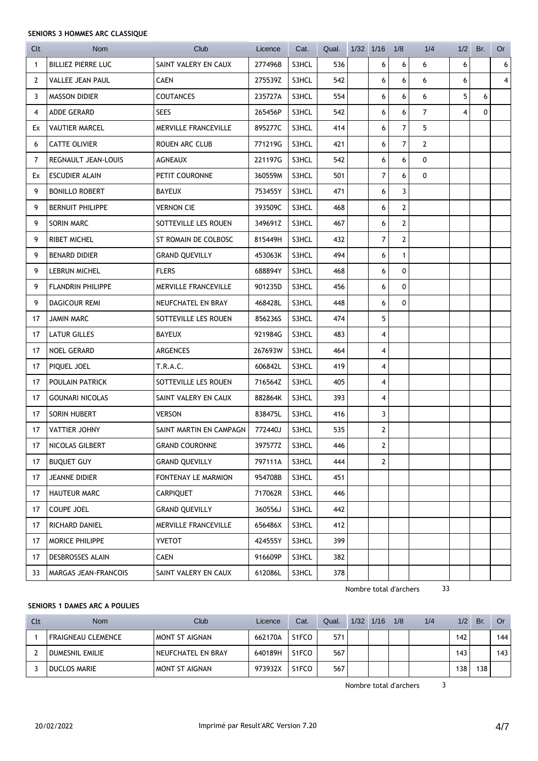#### **SENIORS 3 HOMMES ARC CLASSIQUE**

| Clt            | <b>Nom</b>                | Club                    | Licence | Cat.  | Qual. | $1/32$ $1/16$  | 1/8            | 1/4            | 1/2 | Br. | Or |
|----------------|---------------------------|-------------------------|---------|-------|-------|----------------|----------------|----------------|-----|-----|----|
| 1              | <b>BILLIEZ PIERRE LUC</b> | SAINT VALERY EN CAUX    | 277496B | S3HCL | 536   | 6              | 6              | 6              | 6   |     | 6  |
| $\overline{2}$ | <b>VALLEE JEAN PAUL</b>   | <b>CAEN</b>             | 275539Z | S3HCL | 542   | 6              | 6              | 6              | 6   |     | 4  |
| 3              | <b>MASSON DIDIER</b>      | <b>COUTANCES</b>        | 235727A | S3HCL | 554   | 6              | 6              | 6              | 5   | 6   |    |
| 4              | ADDE GERARD               | <b>SEES</b>             | 265456P | S3HCL | 542   | 6              | 6              | $\overline{7}$ | 4   | 0   |    |
| Ex             | <b>VAUTIER MARCEL</b>     | MERVILLE FRANCEVILLE    | 895277C | S3HCL | 414   | 6              | $\overline{7}$ | 5              |     |     |    |
| 6              | <b>CATTE OLIVIER</b>      | <b>ROUEN ARC CLUB</b>   | 771219G | S3HCL | 421   | 6              | $\overline{7}$ | $\mathbf{2}$   |     |     |    |
| 7              | REGNAULT JEAN-LOUIS       | AGNEAUX                 | 221197G | S3HCL | 542   | 6              | 6              | 0              |     |     |    |
| Ex             | <b>ESCUDIER ALAIN</b>     | PETIT COURONNE          | 360559M | S3HCL | 501   | 7              | 6              | 0              |     |     |    |
| 9              | <b>BONILLO ROBERT</b>     | BAYEUX                  | 753455Y | S3HCL | 471   | 6              | 3              |                |     |     |    |
| 9              | <b>BERNUIT PHILIPPE</b>   | <b>VERNON CIE</b>       | 393509C | S3HCL | 468   | 6              | $\overline{2}$ |                |     |     |    |
| 9              | <b>SORIN MARC</b>         | SOTTEVILLE LES ROUEN    | 349691Z | S3HCL | 467   | 6              | $\overline{2}$ |                |     |     |    |
| 9              | <b>RIBET MICHEL</b>       | ST ROMAIN DE COLBOSC    | 815449H | S3HCL | 432   | $\overline{7}$ | $\mathbf{2}$   |                |     |     |    |
| 9              | <b>BENARD DIDIER</b>      | <b>GRAND QUEVILLY</b>   | 453063K | S3HCL | 494   | 6              | $\mathbf{1}$   |                |     |     |    |
| 9              | <b>LEBRUN MICHEL</b>      | <b>FLERS</b>            | 688894Y | S3HCL | 468   | 6              | $\mathbf 0$    |                |     |     |    |
| 9              | <b>FLANDRIN PHILIPPE</b>  | MERVILLE FRANCEVILLE    | 901235D | S3HCL | 456   | 6              | 0              |                |     |     |    |
| 9              | DAGICOUR REMI             | NEUFCHATEL EN BRAY      | 468428L | S3HCL | 448   | 6              | $\mathbf{0}$   |                |     |     |    |
| 17             | <b>JAMIN MARC</b>         | SOTTEVILLE LES ROUEN    | 856236S | S3HCL | 474   | 5              |                |                |     |     |    |
| 17             | <b>LATUR GILLES</b>       | <b>BAYEUX</b>           | 921984G | S3HCL | 483   | 4              |                |                |     |     |    |
| 17             | <b>NOEL GERARD</b>        | <b>ARGENCES</b>         | 267693W | S3HCL | 464   | 4              |                |                |     |     |    |
| 17             | PIQUEL JOEL               | T.R.A.C.                | 606842L | S3HCL | 419   | $\overline{4}$ |                |                |     |     |    |
| 17             | POULAIN PATRICK           | SOTTEVILLE LES ROUEN    | 716564Z | S3HCL | 405   | 4              |                |                |     |     |    |
| 17             | <b>GOUNARI NICOLAS</b>    | SAINT VALERY EN CAUX    | 882864K | S3HCL | 393   | 4              |                |                |     |     |    |
| 17             | SORIN HUBERT              | <b>VERSON</b>           | 838475L | S3HCL | 416   | 3              |                |                |     |     |    |
| 17             | <b>VATTIER JOHNY</b>      | SAINT MARTIN EN CAMPAGN | 772440J | S3HCL | 535   | $\mathbf{2}$   |                |                |     |     |    |
| 17             | NICOLAS GILBERT           | <b>GRAND COURONNE</b>   | 397577Z | S3HCL | 446   | 2              |                |                |     |     |    |
| 17             | <b>BUQUET GUY</b>         | <b>GRAND QUEVILLY</b>   | 797111A | S3HCL | 444   | $\overline{2}$ |                |                |     |     |    |
| 17             | JEANNE DIDIER             | FONTENAY LE MARMION     | 954708B | S3HCL | 451   |                |                |                |     |     |    |
| 17             | <b>HAUTEUR MARC</b>       | <b>CARPIQUET</b>        | 717062R | S3HCL | 446   |                |                |                |     |     |    |
| 17             | COUPE JOEL                | <b>GRAND QUEVILLY</b>   | 360556J | S3HCL | 442   |                |                |                |     |     |    |
| 17             | RICHARD DANIEL            | MERVILLE FRANCEVILLE    | 656486X | S3HCL | 412   |                |                |                |     |     |    |
| 17             | MORICE PHILIPPE           | <b>YVETOT</b>           | 424555Y | S3HCL | 399   |                |                |                |     |     |    |
| 17             | DESBROSSES ALAIN          | <b>CAEN</b>             | 916609P | S3HCL | 382   |                |                |                |     |     |    |
| 33             | MARGAS JEAN-FRANCOIS      | SAINT VALERY EN CAUX    | 612086L | S3HCL | 378   |                |                |                |     |     |    |

Nombre total d'archers 33

#### **SENIORS 1 DAMES ARC A POULIES**

| Clt | <b>Nom</b>          | Club               | Licence | Cat.  | Qual. | 1/32 | 1/16 | 1/8 | 1/4 | 1/2 | Br. | Or  |
|-----|---------------------|--------------------|---------|-------|-------|------|------|-----|-----|-----|-----|-----|
|     | FRAIGNEAU CLEMENCE  | MONT ST AIGNAN     | 662170A | S1FCO | 571   |      |      |     |     | 142 |     | 144 |
|     | DUMESNIL EMILIE     | NEUFCHATEL EN BRAY | 640189H | S1FCO | 567   |      |      |     |     | 143 |     | 143 |
|     | <b>DUCLOS MARIE</b> | MONT ST AIGNAN     | 973932X | S1FCO | 567   |      |      |     |     | 138 | 138 |     |

Nombre total d'archers 3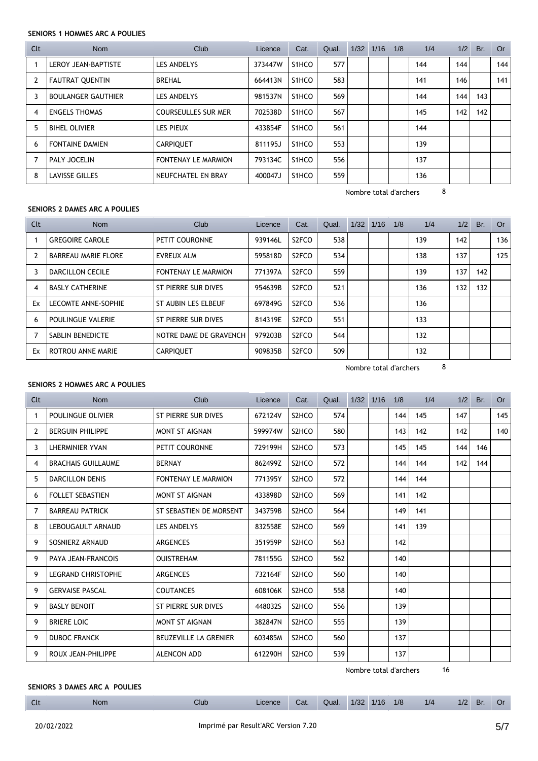#### **SENIORS 1 HOMMES ARC A POULIES**

| Clt | <b>Nom</b>                 | Club                       | Licence | Cat.               | Qual. | 1/32 | 1/16 | 1/8 | 1/4 | 1/2 | Br. | <b>Or</b> |
|-----|----------------------------|----------------------------|---------|--------------------|-------|------|------|-----|-----|-----|-----|-----------|
|     | <b>LEROY JEAN-BAPTISTE</b> | LES ANDELYS                | 373447W | S1HCO              | 577   |      |      |     | 144 | 144 |     | 144       |
|     | <b>FAUTRAT QUENTIN</b>     | <b>BREHAL</b>              | 664413N | S <sub>1</sub> HCO | 583   |      |      |     | 141 | 146 |     | 141       |
|     | <b>BOULANGER GAUTHIER</b>  | LES ANDELYS                | 981537N | S <sub>1</sub> HCO | 569   |      |      |     | 144 | 144 | 143 |           |
| 4   | <b>ENGELS THOMAS</b>       | <b>COURSEULLES SUR MER</b> | 702538D | S <sub>1</sub> HCO | 567   |      |      |     | 145 | 142 | 142 |           |
| 5   | <b>BIHEL OLIVIER</b>       | <b>LES PIEUX</b>           | 433854F | S <sub>1</sub> HCO | 561   |      |      |     | 144 |     |     |           |
| 6   | <b>FONTAINE DAMIEN</b>     | <b>CARPIOUET</b>           | 811195J | S <sub>1</sub> HCO | 553   |      |      |     | 139 |     |     |           |
|     | PALY JOCELIN               | FONTENAY LE MARMION        | 793134C | S1HCO              | 556   |      |      |     | 137 |     |     |           |
| 8   | <b>LAVISSE GILLES</b>      | NEUFCHATEL EN BRAY         | 400047J | S <sub>1</sub> HCO | 559   |      |      |     | 136 |     |     |           |

Nombre total d'archers 8

#### **SENIORS 2 DAMES ARC A POULIES**

| Clt | Nom                        | Club                       | Licence | Cat.               | Qual. | $1/32$ $1/16$ | 1/8 | 1/4 | 1/2 | Br. | Or  |
|-----|----------------------------|----------------------------|---------|--------------------|-------|---------------|-----|-----|-----|-----|-----|
|     | <b>GREGOIRE CAROLE</b>     | PETIT COURONNE             | 939146L | S <sub>2</sub> FCO | 538   |               |     | 139 | 142 |     | 136 |
|     | <b>BARREAU MARIE FLORE</b> | EVREUX ALM                 | 595818D | S <sub>2</sub> FCO | 534   |               |     | 138 | 137 |     | 125 |
| 3   | DARCILLON CECILE           | <b>FONTENAY LE MARMION</b> | 771397A | S <sub>2</sub> FCO | 559   |               |     | 139 | 137 | 142 |     |
| 4   | <b>BASLY CATHERINE</b>     | ST PIERRE SUR DIVES        | 954639B | S <sub>2</sub> FCO | 521   |               |     | 136 | 132 | 132 |     |
| Ex  | LECOMTE ANNE-SOPHIE        | ST AUBIN LES ELBEUF        | 697849G | S <sub>2</sub> FCO | 536   |               |     | 136 |     |     |     |
| 6   | POULINGUE VALERIE          | ST PIERRE SUR DIVES        | 814319E | S <sub>2</sub> FCO | 551   |               |     | 133 |     |     |     |
|     | SABLIN BENEDICTE           | NOTRE DAME DE GRAVENCH     | 979203B | S <sub>2</sub> FCO | 544   |               |     | 132 |     |     |     |
| Ex  | ROTROU ANNE MARIE          | <b>CARPIQUET</b>           | 909835B | S <sub>2</sub> FCO | 509   |               |     | 132 |     |     |     |

Nombre total d'archers 8

#### **SENIORS 2 HOMMES ARC A POULIES**

| Clt | <b>Nom</b>                | Club                         | Licence | Cat.                           | Qual. | 1/32 1/16 | 1/8 | 1/4 | 1/2 | Br. | <b>Or</b> |
|-----|---------------------------|------------------------------|---------|--------------------------------|-------|-----------|-----|-----|-----|-----|-----------|
| 1   | POULINGUE OLIVIER         | ST PIERRE SUR DIVES          | 672124V | S <sub>2</sub> HC <sub>O</sub> | 574   |           | 144 | 145 | 147 |     | 145       |
| 2   | <b>BERGUIN PHILIPPE</b>   | <b>MONT ST AIGNAN</b>        | 599974W | S <sub>2</sub> HCO             | 580   |           | 143 | 142 | 142 |     | 140       |
| 3   | LHERMINIER YVAN           | PETIT COURONNE               | 729199H | S <sub>2</sub> HCO             | 573   |           | 145 | 145 | 144 | 146 |           |
| 4   | <b>BRACHAIS GUILLAUME</b> | <b>BERNAY</b>                | 862499Z | S <sub>2</sub> HCO             | 572   |           | 144 | 144 | 142 | 144 |           |
| 5   | <b>DARCILLON DENIS</b>    | <b>FONTENAY LE MARMION</b>   | 771395Y | S <sub>2</sub> HC <sub>O</sub> | 572   |           | 144 | 144 |     |     |           |
| 6   | <b>FOLLET SEBASTIEN</b>   | MONT ST AIGNAN               | 433898D | S <sub>2</sub> HCO             | 569   |           | 141 | 142 |     |     |           |
| 7   | <b>BARREAU PATRICK</b>    | ST SEBASTIEN DE MORSENT      | 343759B | S <sub>2</sub> HC <sub>O</sub> | 564   |           | 149 | 141 |     |     |           |
| 8   | LEBOUGAULT ARNAUD         | <b>LES ANDELYS</b>           | 832558E | S2HCO                          | 569   |           | 141 | 139 |     |     |           |
| 9   | SOSNIERZ ARNAUD           | <b>ARGENCES</b>              | 351959P | S <sub>2</sub> HCO             | 563   |           | 142 |     |     |     |           |
| 9   | <b>PAYA JEAN-FRANCOIS</b> | <b>OUISTREHAM</b>            | 781155G | S <sub>2</sub> HCO             | 562   |           | 140 |     |     |     |           |
| 9   | <b>LEGRAND CHRISTOPHE</b> | <b>ARGENCES</b>              | 732164F | S <sub>2</sub> HCO             | 560   |           | 140 |     |     |     |           |
| 9   | <b>GERVAISE PASCAL</b>    | <b>COUTANCES</b>             | 608106K | S2HCO                          | 558   |           | 140 |     |     |     |           |
| 9   | <b>BASLY BENOIT</b>       | ST PIERRE SUR DIVES          | 448032S | S2HCO                          | 556   |           | 139 |     |     |     |           |
| 9   | <b>BRIERE LOIC</b>        | MONT ST AIGNAN               | 382847N | S <sub>2</sub> HCO             | 555   |           | 139 |     |     |     |           |
| 9   | <b>DUBOC FRANCK</b>       | <b>BEUZEVILLE LA GRENIER</b> | 603485M | S <sub>2</sub> HCO             | 560   |           | 137 |     |     |     |           |
| 9   | ROUX JEAN-PHILIPPE        | ALENCON ADD                  | 612290H | S <sub>2</sub> HCO             | 539   |           | 137 |     |     |     |           |

Nombre total d'archers 16

#### **SENIORS 3 DAMES ARC A POULIES**

Clt Nom Club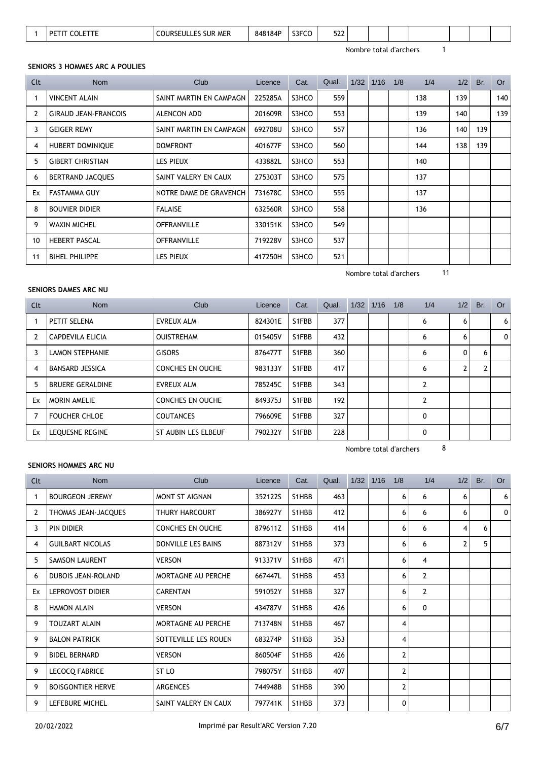| $\sim$<br>S3FCO<br><b>COURSEULLES SUR MER</b><br>848184P<br><b>COLETTE</b><br><b>DETIT</b><br>∍∠∠ |
|---------------------------------------------------------------------------------------------------|
|---------------------------------------------------------------------------------------------------|

#### **SENIORS 3 HOMMES ARC A POULIES**

| Clt | Nom                         | Club                    | Licence | Cat.  | Qual. | $1/32$ $1/16$ | 1/8 | 1/4 | 1/2 | Br. | <b>Or</b> |
|-----|-----------------------------|-------------------------|---------|-------|-------|---------------|-----|-----|-----|-----|-----------|
|     | <b>VINCENT ALAIN</b>        | SAINT MARTIN EN CAMPAGN | 225285A | S3HCO | 559   |               |     | 138 | 139 |     | 140       |
| 2   | <b>GIRAUD JEAN-FRANCOIS</b> | ALENCON ADD             | 201609R | S3HCO | 553   |               |     | 139 | 140 |     | 139       |
| 3   | <b>GEIGER REMY</b>          | SAINT MARTIN EN CAMPAGN | 692708U | S3HCO | 557   |               |     | 136 | 140 | 139 |           |
| 4   | HUBERT DOMINIQUE            | <b>DOMFRONT</b>         | 401677F | S3HCO | 560   |               |     | 144 | 138 | 139 |           |
| 5   | <b>GIBERT CHRISTIAN</b>     | <b>LES PIEUX</b>        | 433882L | S3HCO | 553   |               |     | 140 |     |     |           |
| 6   | <b>BERTRAND JACQUES</b>     | SAINT VALERY EN CAUX    | 275303T | S3HCO | 575   |               |     | 137 |     |     |           |
| Ex  | <b>FASTAMMA GUY</b>         | NOTRE DAME DE GRAVENCH  | 731678C | S3HCO | 555   |               |     | 137 |     |     |           |
| 8   | <b>BOUVIER DIDIER</b>       | <b>FALAISE</b>          | 632560R | S3HCO | 558   |               |     | 136 |     |     |           |
| 9   | <b>WAXIN MICHEL</b>         | <b>OFFRANVILLE</b>      | 330151K | S3HCO | 549   |               |     |     |     |     |           |
| 10  | <b>HEBERT PASCAL</b>        | <b>OFFRANVILLE</b>      | 719228V | S3HCO | 537   |               |     |     |     |     |           |
| 11  | <b>BIHEL PHILIPPE</b>       | <b>LES PIEUX</b>        | 417250H | S3HCO | 521   |               |     |     |     |     |           |

### Nombre total d'archers 11

#### **SENIORS DAMES ARC NU**

| <b>Nom</b>              | Club                    | Licence | Cat.  | Qual. |  | 1/8           | 1/4            |              | Br. | Or  |
|-------------------------|-------------------------|---------|-------|-------|--|---------------|----------------|--------------|-----|-----|
| PETIT SELENA            | EVREUX ALM              | 824301E | S1FBB | 377   |  |               | 6              | 6            |     | 6   |
| CAPDEVILA ELICIA        | <b>OUISTREHAM</b>       | 015405V | S1FBB | 432   |  |               | 6              | 6            |     | 0   |
| <b>LAMON STEPHANIE</b>  | <b>GISORS</b>           | 876477T | S1FBB | 360   |  |               | 6              | $\mathbf{0}$ | 6   |     |
| <b>BANSARD JESSICA</b>  | <b>CONCHES EN OUCHE</b> | 983133Y | S1FBB | 417   |  |               | 6              | 2            |     |     |
| <b>BRUERE GERALDINE</b> | EVREUX ALM              | 785245C | S1FBB | 343   |  |               | 2              |              |     |     |
| <b>MORIN AMELIE</b>     | <b>CONCHES EN OUCHE</b> | 849375J | S1FBB | 192   |  |               | $\overline{2}$ |              |     |     |
| <b>FOUCHER CHLOE</b>    | <b>COUTANCES</b>        | 796609E | S1FBB | 327   |  |               | 0              |              |     |     |
| LEQUESNE REGINE         | ST AUBIN LES ELBEUF     | 790232Y | S1FBB | 228   |  |               | 0              |              |     |     |
|                         |                         |         |       |       |  | $1/32$ $1/16$ |                |              |     | 1/2 |

Nombre total d'archers 8

#### **SENIORS HOMMES ARC NU**

| Clt | <b>Nom</b>                | Club                    | Licence | Cat.  | Qual. | $1/32$ $1/16$ | 1/8          | 1/4            | 1/2          | Br. | <b>Or</b> |
|-----|---------------------------|-------------------------|---------|-------|-------|---------------|--------------|----------------|--------------|-----|-----------|
| -1  | <b>BOURGEON JEREMY</b>    | <b>MONT ST AIGNAN</b>   | 352122S | S1HBB | 463   |               | 6            | 6              | 6            |     | 6         |
| 2   | THOMAS JEAN-JACQUES       | THURY HARCOURT          | 386927Y | S1HBB | 412   |               | 6            | 6              | 6            |     | 0         |
| 3   | PIN DIDIER                | <b>CONCHES EN OUCHE</b> | 879611Z | S1HBB | 414   |               | 6            | 6              | 4            | 6   |           |
| 4   | <b>GUILBART NICOLAS</b>   | DONVILLE LES BAINS      | 887312V | S1HBB | 373   |               | 6            | 6              | $\mathbf{2}$ | 5   |           |
| 5   | <b>SAMSON LAURENT</b>     | <b>VERSON</b>           | 913371V | S1HBB | 471   |               | 6            | 4              |              |     |           |
| 6   | <b>DUBOIS JEAN-ROLAND</b> | MORTAGNE AU PERCHE      | 667447L | S1HBB | 453   |               | 6            | $\overline{2}$ |              |     |           |
| Ex  | <b>LEPROVOST DIDIER</b>   | <b>CARENTAN</b>         | 591052Y | S1HBB | 327   |               | 6            | $\overline{2}$ |              |     |           |
| 8   | <b>HAMON ALAIN</b>        | <b>VERSON</b>           | 434787V | S1HBB | 426   |               | 6            | $\mathbf{0}$   |              |     |           |
| 9   | <b>TOUZART ALAIN</b>      | MORTAGNE AU PERCHE      | 713748N | S1HBB | 467   |               | 4            |                |              |     |           |
| 9   | <b>BALON PATRICK</b>      | SOTTEVILLE LES ROUEN    | 683274P | S1HBB | 353   |               | 4            |                |              |     |           |
| 9   | <b>BIDEL BERNARD</b>      | <b>VERSON</b>           | 860504F | S1HBB | 426   |               | 2            |                |              |     |           |
| 9   | <b>LECOCQ FABRICE</b>     | ST <sub>LO</sub>        | 798075Y | S1HBB | 407   |               | 2            |                |              |     |           |
| 9   | <b>BOISGONTIER HERVE</b>  | <b>ARGENCES</b>         | 744948B | S1HBB | 390   |               | $\mathbf{2}$ |                |              |     |           |
| 9   | LEFEBURE MICHEL           | SAINT VALERY EN CAUX    | 797741K | S1HBB | 373   |               | 0            |                |              |     |           |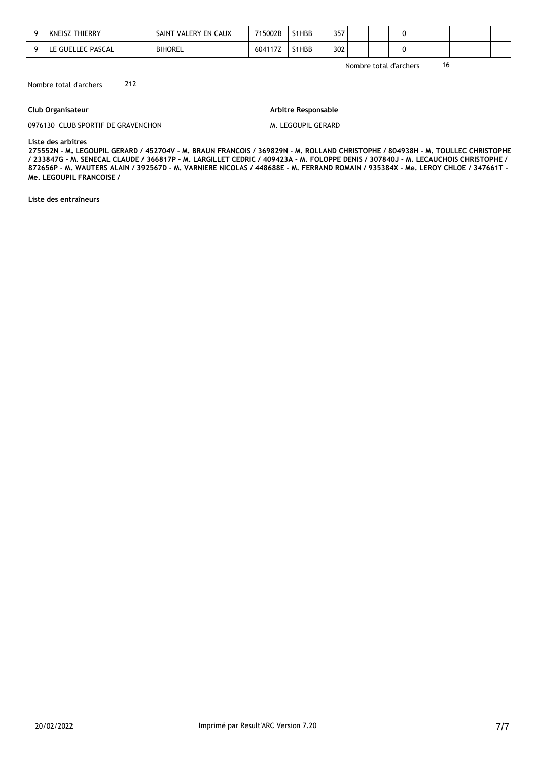| <b>THIERRY</b><br>KNEISZ . | SAINT VALERY EN CAUX | 715002B | S1HBB | 357 |  |  |  |  |
|----------------------------|----------------------|---------|-------|-----|--|--|--|--|
| LE GUELLEC PASCAL          | <b>BIHOREL</b>       | 604117Z | S1HBB | 302 |  |  |  |  |

Nombre total d'archers 212

#### **Club Organisateur**

#### **Arbitre Responsable**

0976130 CLUB SPORTIF DE GRAVENCHON

M. LEGOUPIL GERARD

**Liste des arbitres** 

**275552N - M. LEGOUPIL GERARD / 452704V - M. BRAUN FRANCOIS / 369829N - M. ROLLAND CHRISTOPHE / 804938H - M. TOULLEC CHRISTOPHE / 233847G - M. SENECAL CLAUDE / 366817P - M. LARGILLET CEDRIC / 409423A - M. FOLOPPE DENIS / 307840J - M. LECAUCHOIS CHRISTOPHE / 872656P - M. WAUTERS ALAIN / 392567D - M. VARNIERE NICOLAS / 448688E - M. FERRAND ROMAIN / 935384X - Me. LEROY CHLOE / 347661T - Me. LEGOUPIL FRANCOISE /** 

**Liste des entraîneurs**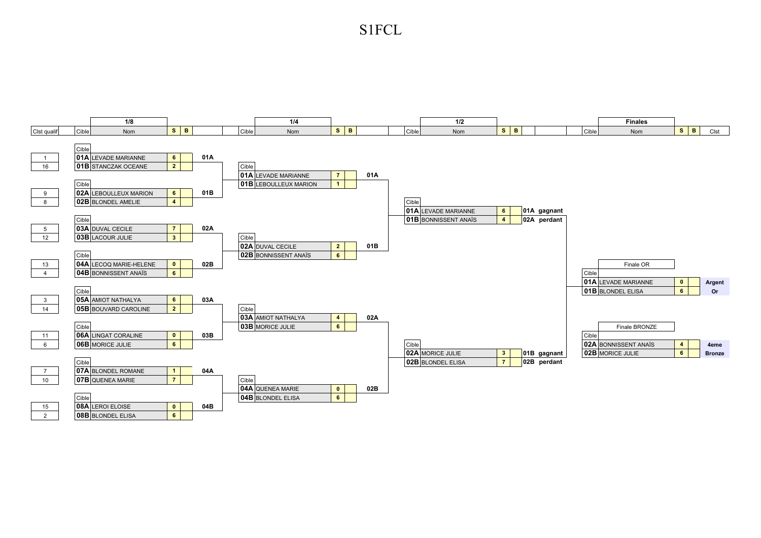S1FCL

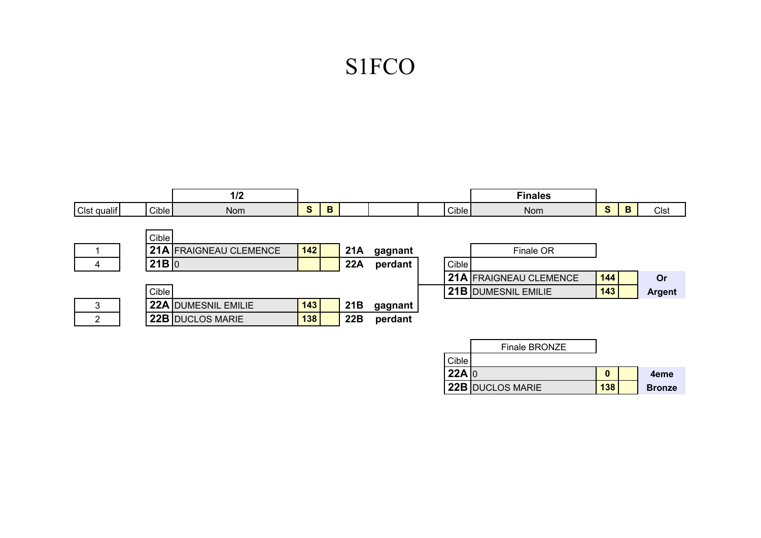# S1FCO

|                |       | 1/2                        |     |   |     |         |       | <b>Finales</b>         |              |   |               |
|----------------|-------|----------------------------|-----|---|-----|---------|-------|------------------------|--------------|---|---------------|
| Clst qualif    | Cible | <b>Nom</b>                 | S   | B |     |         | Cible | Nom                    | $\mathbf{s}$ | B | Clst          |
|                |       |                            |     |   |     |         |       |                        |              |   |               |
|                | Cible |                            |     |   |     |         |       |                        |              |   |               |
|                |       | 21A FRAIGNEAU CLEMENCE     | 142 |   | 21A | gagnant |       | Finale OR              |              |   |               |
| 4              | 21B 0 |                            |     |   | 22A | perdant | Cible |                        |              |   |               |
|                |       |                            |     |   |     |         |       | 21A FRAIGNEAU CLEMENCE | 144          |   | Or            |
|                | Cible |                            |     |   |     |         |       | 21B DUMESNIL EMILIE    | 143          |   | <b>Argent</b> |
| 3              |       | <b>22A DUMESNIL EMILIE</b> | 143 |   | 21B | gagnant |       |                        |              |   |               |
| $\overline{2}$ |       | 22B DUCLOS MARIE           | 138 |   | 22B | perdant |       |                        |              |   |               |
|                |       |                            |     |   |     |         |       |                        |              |   |               |
|                |       |                            |     |   |     |         |       | Finale BRONZE          |              |   |               |
|                |       |                            |     |   |     |         | Cible |                        |              |   |               |
|                |       |                            |     |   |     |         | 22A 0 |                        | $\bf{0}$     |   | 4eme          |
|                |       |                            |     |   |     |         |       | 22B DUCLOS MARIE       | 138          |   | <b>Bronze</b> |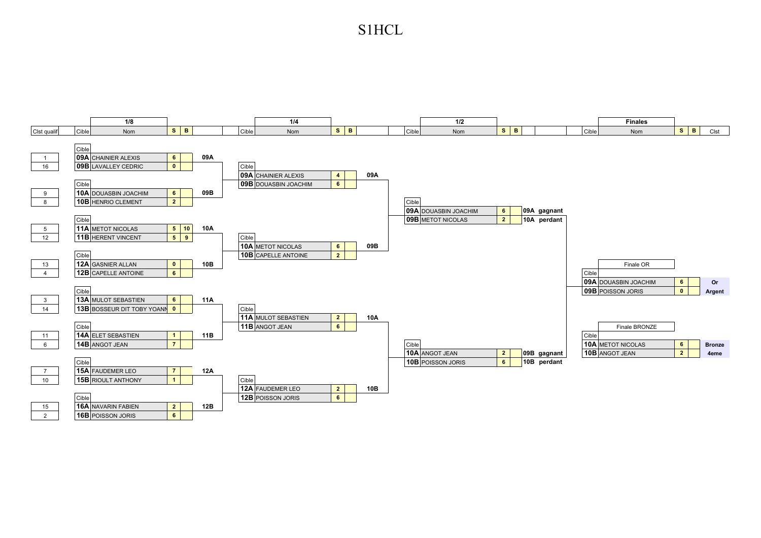### S1HCL

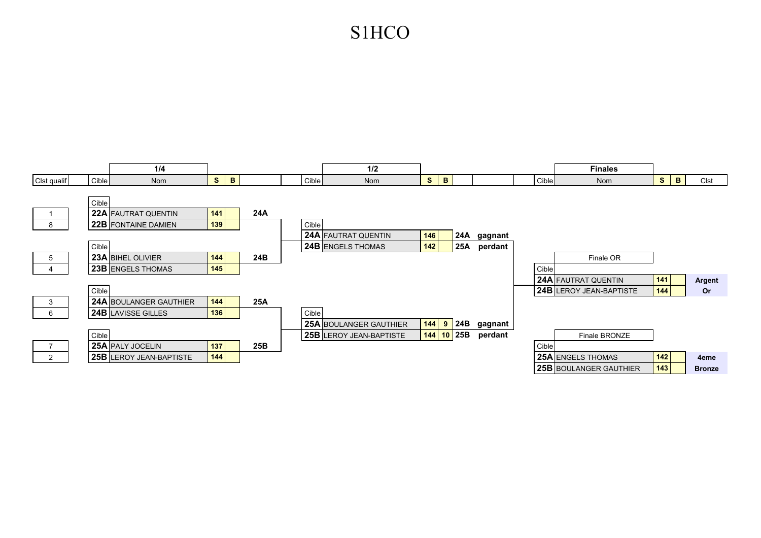# S1HCO

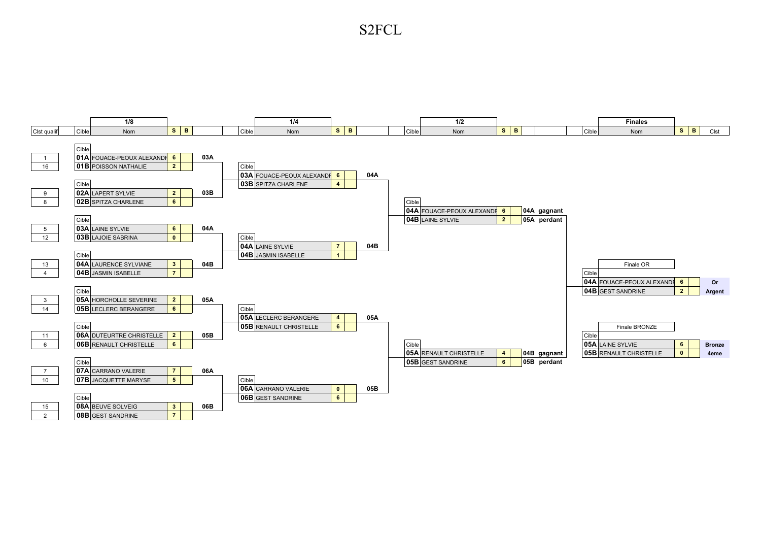S2FCL

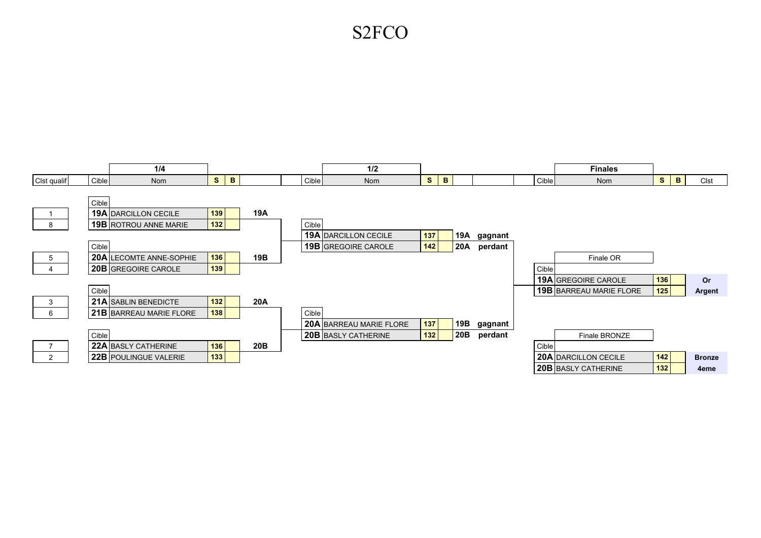## S2FCO

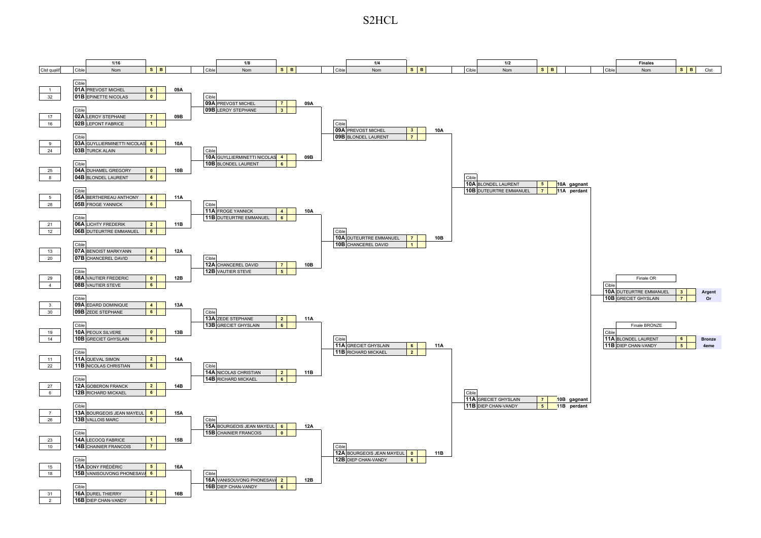S2HCL

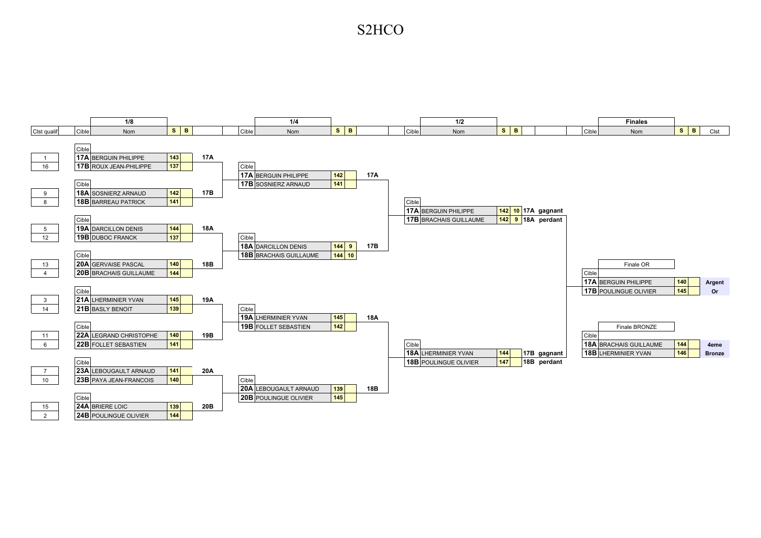### S2HCO

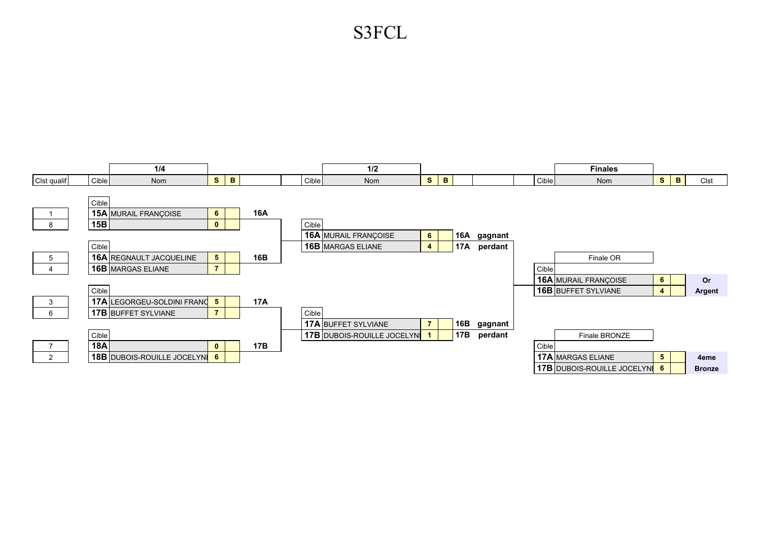# S3FCL

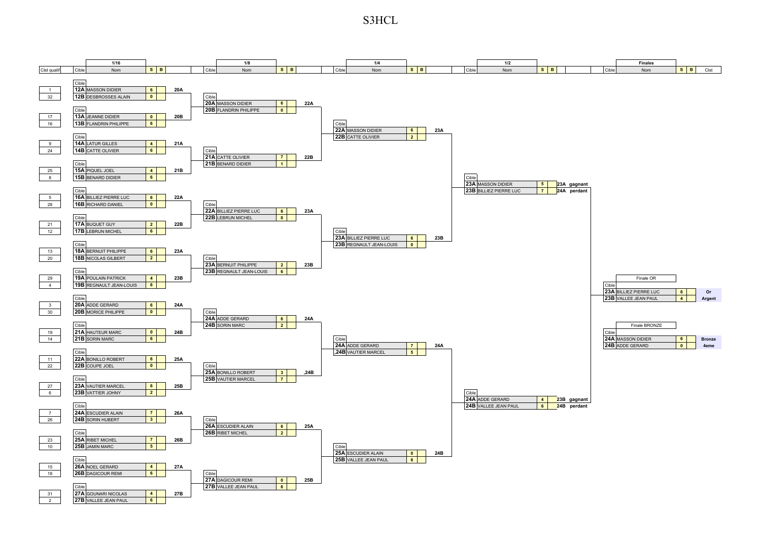S3HCL

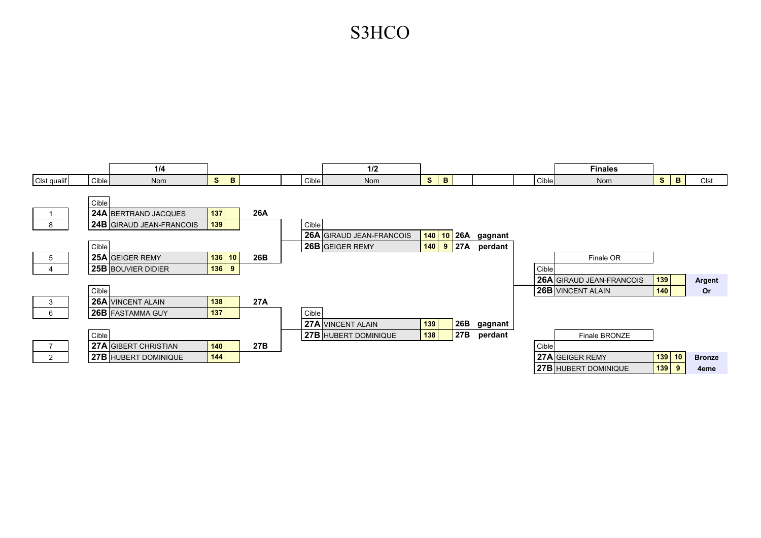# S3HCO

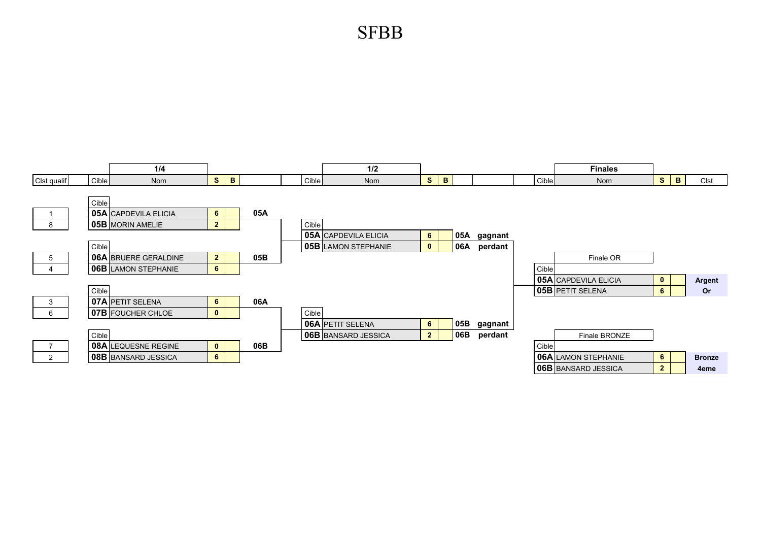SFBB